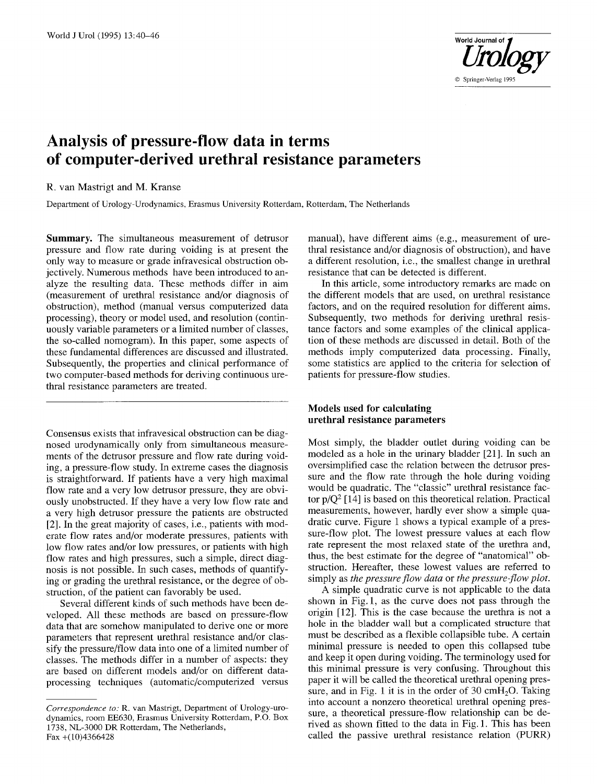

# **Analysis of pressure-flow data in terms of computer-derived urethral resistance parameters**

R. van Mastrigt and M. Kranse

Department of Urology-Urodynamics, Erasmus University Rotterdam, Rotterdam, The Netherlands

**Summary.** The simultaneous measurement of detrusor pressure and flow rate during voiding is at present the only way to measure or grade infravesical obstruction objectively. Numerous methods have been introduced to analyze the resulting data. These methods differ in aim (measurement of urethral resistance and/or diagnosis of obstruction), method (manual versus computerized data processing), theory or model used, and resolution (continuously variable parameters or a limited number of classes, the so-called nomogram). In this paper, some aspects of these fundamental differences are discussed and illustrated. Subsequently, the properties and clinical performance of two computer-based methods for deriving continuous urethral resistance parameters are treated.

Consensus exists that infravesical obstruction can be diagnosed urodynamically only from simultaneous measurements of the detrusor pressure and flow rate during voiding, a pressure-flow study. In extreme cases the diagnosis is straightforward. If patients have a very high maximal flow rate and a very low detrusor pressure, they are obviously unobstructed. If they have a very low flow rate and a very high detrusor pressure the patients are obstructed [2]. In the great majority of cases, i.e., patients with moderate flow rates and/or moderate pressures, patients with low flow rates and/or low pressures, or patients with high flow rates and high pressures, such a simple, direct diagnosis is not possible. In such cases, methods of quantifying or grading the urethral resistance, or the degree of obstruction, of the patient can favorably be used.

Several different kinds of such methods have been developed. All these methods are based on pressure-flow data that are somehow manipulated to derive one or more parameters that represent urethral resistance and/or classify the pressure/flow data into one of a limited number of classes. The methods differ in a number of aspects: they are based on different models and/or on different dataprocessing techniques (automatic/computerized versus

*Correspondence to:* R. van Mastrigt, Department of Urology-urodynamics, room EE630, Erasmus University Rotterdam, P.O. Box 1738, NL-3000 DR Rotterdam, The Netherlands, Fax +(10)4366428

manual), have different aims (e.g., measurement of urethral resistance and/or diagnosis of obstruction), and have a different resolution, i.e., the smallest change in urethral resistance that can be detected is different.

In this article, some introductory remarks are made on the different models that are used, on urethral resistance factors, and on the required resolution for different aims. Subsequently, two methods for deriving urethral resistance factors and some examples of the clinical application of these methods are discussed in detail. Both of the methods imply computerized data processing. Finally, some statistics are applied to the criteria for selection of patients for pressure-flow studies.

# **Models used for calculating urethral resistance parameters**

Most simply, the bladder outlet during voiding can be modeled as a hole in the urinary bladder [21]. In such an oversimplified case the relation between the detrusor pressure and the flow rate through the hole during voiding would be quadratic. The "classic" urethral resistance factor  $p/O^2$  [14] is based on this theoretical relation. Practical measurements, however, hardly ever show a simple quadratic curve. Figure 1 shows a typical example of a pressure-flow plot. The lowest pressure values at each flow rate represent the most relaxed state of the urethra and, thus, the best estimate for the degree of "anatomical" obstruction. Hereafter, these lowest values are referred to simply as *the pressure flow data* or *the pressure-flow plot.* 

A simple quadratic curve is not applicable to the data shown in Fig. 1, as the curve does not pass through the origin [12]. This is the case because the urethra is not a hole in the bladder wall but a complicated structure that must be described as a flexible collapsible tube. A certain minimal pressure is needed to open this collapsed tube and keep it open during voiding. The terminology used for this minimal pressure is very confusing. Throughout this paper it will be called the theoretical urethral opening pressure, and in Fig. 1 it is in the order of 30 cm $H_2O$ . Taking into account a nonzero theoretical urethral opening pressure, a theoretical pressure-flow relationship can be derived as shown fitted to the data in Fig. 1. This has been called the passive urethral resistance relation (PURR)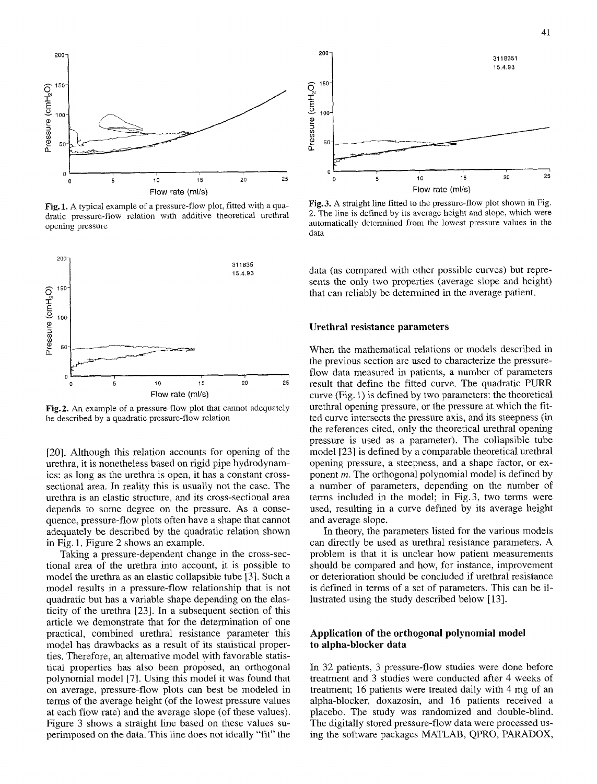

Fig. I. A typical example of a pressure-flow plot, fitted with a quadratic pressure-flow relation with additive theoretical urethral opening pressure



Fig.2. An example of a pressure-flow plot that cannot adequately be described by a quadratic pressure-flow relation

[20]. Although this relation accounts for opening of the urethra, it is nonetheless based on rigid pipe hydrodynamics: as long as the urethra is open, it has a constant crosssectional area. In reality this is usually not the case. The urethra is an elastic structure, and its cross-sectional area depends to some degree on the pressure. As a consequence, pressure-flow plots often have a shape that cannot adequately be described by the quadratic relation shown in Fig. 1. Figure 2 shows an example.

Taking a pressure-dependent change in the cross-sectional area of the urethra into account, it is possible to model the urethra as an elastic collapsible tube [3]. Such a model results in a pressure-flow relationship that is not quadratic but has a variable shape depending on the elasticity of the urethra [23]. In a subsequent section of this article we demonstrate that for the determination of one practical, combined urethral resistance parameter this model has drawbacks as a result of its statistical properties. Therefore, an alternative model with favorable statistical properties has also been proposed, an orthogonal polynomial model [7]. Using this model it was found that on average, pressure-flow plots can best be modeled in terms of the average height (of the lowest pressure values at each flow rate) and the average slope (of these values). Figure 3 shows a straight line based on these values superimposed on the data. This line does not ideally "fit" the



Fig. 3. A straight line fitted to the pressure-flow plot shown in Fig. 2. The line is defined by its average height and slope, which were automatically determined from the lowest pressure values in the data

data (as compared with other possible curves) but represents the only two properties (average slope and height) that can reliably be determined in the average patient.

#### **Urethral resistance parameters**

When the mathematical relations or models described in the previous section are used to characterize the pressureflow data measured in patients, a number of parameters result that define the fitted curve. The quadratic PURR curve (Fig. 1) is defined by two parameters: the theoretical urethral opening pressure, or the pressure at which the fitted curve intersects the pressure axis, and its steepness (in the references cited, only the theoretical urethral opening pressure is used as a parameter). The collapsible tube model [23] is defined by a comparable theoretical urethral opening pressure, a steepness, and a shape factor, or exponent m. The orthogonal polynomial model is defined by a number of parameters, depending on the number of terms included in the model; in Fig. 3, two terms were used, resulting in a curve defined by its average height and average slope.

In theory, the parameters listed for the various models can directly be used as urethral resistance parameters. A problem is that it is unclear how patient measurements should be compared and how, for instance, improvement or deterioration should be concluded if urethral resistance is defined in terms of a set of parameters. This can be illustrated using the study described below [13].

# **Application of the orthogonal polynomial model to alpha-blocker data**

In 32 patients, 3 pressure-flow studies were done before treatment and 3 studies were conducted after 4 weeks of treatment; 16 patients were treated daily with 4 mg of an alpha-blocker, doxazosin, and 16 patients received a placebo. The study was randomized and double-blind. The digitally stored pressure-flow data were processed using the software packages MATLAB, QPRO, PARADOX,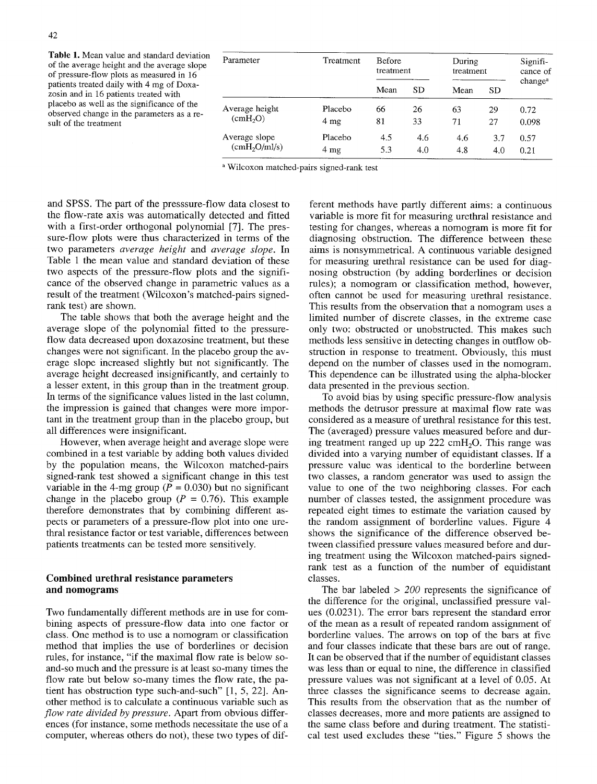**Table** 1. Mean value and standard deviation of the average height and the average slope of pressure-flow plots as measured in 16 patients treated daily with 4 mg of Doxazosin and in 16 patients treated with placebo as well as the significance of the observed change in the parameters as a result of the treatment Parameter Treatment Before treatment Mean SD

| Parameter                 | Treatment       | <b>Before</b><br>treatment |           | During<br>treatment |     | Signifi-<br>cance of |
|---------------------------|-----------------|----------------------------|-----------|---------------------|-----|----------------------|
|                           |                 | Mean                       | <b>SD</b> | Mean                | SD  | change <sup>a</sup>  |
| Average height            | Placebo         | 66                         | 26        | 63                  | 29  | 0.72                 |
| (cmH <sub>2</sub> O)      | 4 <sub>mg</sub> | 81                         | 33        | 71                  | 27  | 0.098                |
| Average slope             | Placebo         | 4.5                        | 4.6       | 4.6                 | 3.7 | 0.57                 |
| (cmH <sub>2</sub> O/ml/s) | $4 \text{ mg}$  | 5.3                        | 4.0       | 4.8                 | 4.0 | 0.21                 |

a Wilcoxon matched-pairs signed-rank test

and SPSS. The part of the presssure-flow data closest to the flow-rate axis was automatically detected and fitted with a first-order orthogonal polynomial [7]. The pressure-flow plots were thus characterized in terms of the two parameters *average height* and *average slope.* In Table 1 the mean value and standard deviation of these two aspects of the pressure-flow plots and the significance of the observed change in parametric values as a result of the treatment (Wilcoxon's matched-pairs signedrank test) are shown.

The table shows that both the average height and the average slope of the polynomial fitted to the pressureflow data decreased upon doxazosine treatment, but these changes were not significant. In the placebo group the average slope increased slightly but not significantly. The average height decreased insignificantly, and certainly to a lesser extent, in this group than in the treatment group. In terms of the significance values listed in the last column, the impression is gained that changes were more important in the treatment group than in the placebo group, but all differences were insignificant.

However, when average height and average slope were combined in a test variable by adding both values divided by the population means, the Wilcoxon matched-pairs signed-rank test showed a significant change in this test variable in the 4-mg group ( $\dot{P} = 0.030$ ) but no significant change in the placebo group ( $P = 0.76$ ). This example therefore demonstrates that by combining different aspects or parameters of a pressure-flow plot into one urethral resistance factor or test variable, differences between patients treatments can be tested more sensitively.

# **Combined urethral resistance parameters and nomograms**

Two fundamentally different methods are in use for combining aspects of pressure-flow data into one factor or class. One method is to use a nomogram or classification method that implies the use of borderlines or decision rules, for instance, "if the maximal flow rate is below soand-so much and the pressure is at least so-many times the flow rate but below so-many times the flow rate, the patient has obstruction type such-and-such" [1, 5, 22]. Another method is to calculate a continuous variable such as *flow rate divided by pressure.* Apart from obvious differences (for instance, some methods necessitate the use of a computer, whereas others do not), these two types of dif-

ferent methods have partly different aims: a continuous variable is more fit for measuring urethral resistance and testing for changes, whereas a nomogram is more fit for diagnosing obstruction. The difference between these aims is nonsymmetrical. A continuous variable designed for measuring urethral resistance can be used for diagnosing obstruction (by adding borderlines or decision rules); a nomogram or classification method, however, often cannot be used for measuring urethral resistance. This results from the observation that a nomogram uses a limited number of discrete classes, in the extreme case only two: obstructed or unobstructed. This makes such methods less sensitive in detecting changes in outflow obstruction in response to treatment. Obviously, this must depend on the number of classes used in the nomogram. This dependence can be illustrated using the alpha-blocker data presented in the previous section.

To avoid bias by using specific pressure-flow analysis methods the detrusor pressure at maximal flow rate was considered as a measure of urethral resistance for this test. The (averaged) pressure values measured before and during treatment ranged up up  $222 \text{ cmH}_2\text{O}$ . This range was divided into a varying number of equidistant classes. If a pressure value was identical to the borderline between two classes, a random generator was used to assign the value to one of the two neighboring classes. For each number of classes tested, the assignment procedure was repeated eight times to estimate the variation caused by the random assignment of borderline values. Figure 4 shows the significance of the difference observed between classified pressure values measured before and during treatment using the Wilcoxon matched-pairs signedrank test as a function of the number of equidistant classes.

The bar labeled > *200* represents the significance of the difference for the original, unclassified pressure values (0.0231). The error bars represent the standard error of the mean as a result of repeated random assignment of borderline values. The arrows on top of the bars at five and four classes indicate that these bars are out of range. It can be observed that if the number of equidistant classes was less than or equal to nine, the difference in classified pressure values was not significant at a level of 0.05. At three classes the significance seems to decrease again. This results from the observation that as the number of classes decreases, more and more patients are assigned to the same class before and during treatment. The statistical test used excludes these "ties." Figure 5 shows the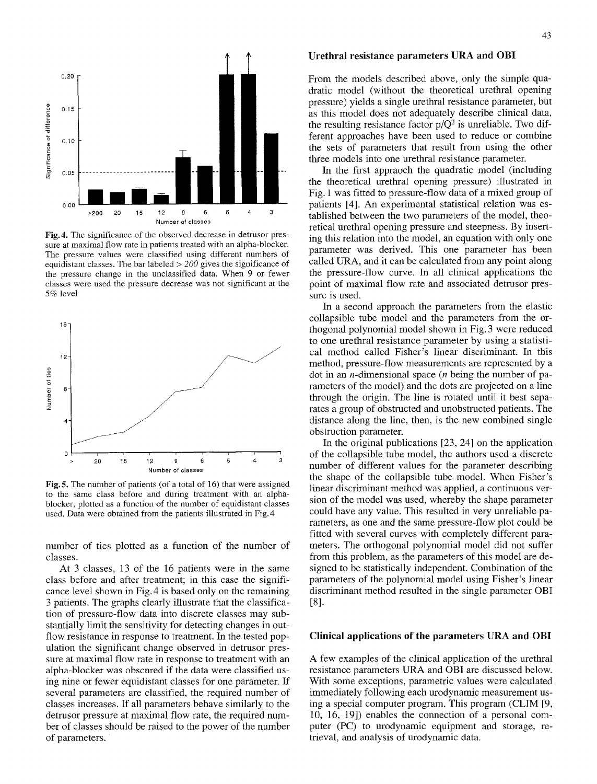

Fig.4. The significance of the observed decrease in detrusor pressure at maximal flow rate in patients treated with an alpha-blocker. The pressure values were classified using different numbers of equidistant classes. The bar labeled > *200* gives the significance of the pressure change in the unclassified data. When 9 or fewer classes were used the pressure decrease was not significant at the 5% level



Fig.5. The number of patients (of a total of 16) that were assigned to the same class before and during treatment with an alphablocker, plotted as a function of the number of equidistant classes used. Data were obtained from the patients illustrated in Fig. 4

number of ties plotted as a function of the number of classes.

At 3 classes, 13 of the 16 patients were in the same class before and after treatment; in this case the significance level shown in Fig. 4 is based only on the remaining 3 patients. The graphs clearly illustrate that the classification of pressure-flow data into discrete classes may substantially limit the sensitivity for detecting changes in outflow resistance in response to treatment. In the tested population the significant change observed in detrusor pressure at maximal flow rate in response to treatment with an alpha-blocker was obscured if the data were classified using nine or fewer equidistant classes for one parameter. If several parameters are classified, the required number of classes increases. If all parameters behave similarly to the detrusor pressure at maximal flow rate, the required number of classes should be raised to the power of the number of parameters.

# **Urethral resistance parameters URA and OBI**

From the models described above, only the simple quadratic model (without the theoretical urethral opening pressure) yields a single urethral resistance parameter, but as this model does not adequately describe clinical data, the resulting resistance factor  $p/Q^2$  is unreliable. Two different approaches have been used to reduce or combine the sets of parameters that result from using the other three models into one urethral resistance parameter.

In the first appraoch the quadratic model (including the theoretical urethral opening pressure) illustrated in Fig. 1 was fitted to pressure-flow data of a mixed group of patients [4]. An experimental statistical relation was established between the two parameters of the model, theoretical urethral opening pressure and steepness. By inserting this relation into the model, an equation with only one parameter was derived. This one parameter has been called URA, and it can be calculated from any point along the pressure-flow curve. In all clinical applications the point of maximal flow rate and associated detrusor pressure is used.

In a second approach the parameters from the elastic collapsible tube model and the parameters from the orthogonal polynomial model shown in Fig. 3 were reduced to one urethral resistance parameter by using a statistical method called Fisher's linear discriminant. In this method, pressure-flow measurements are represented by a dot in an *n*-dimensional space (*n* being the number of parameters of the model) and the dots are projected on a line through the origin. The line is rotated until it best separates a group of obstructed and unobstructed patients. The distance along the line, then, is the new combined single obstruction parameter.

In the original publications [23, 24] on the application of the collapsible tube model, the authors used a discrete number of different values for the parameter describing the shape of the collapsible tube model. When Fisher's linear discriminant method was applied, a continuous version of the model was used, whereby the shape parameter could have any value. This resulted in very unreliable parameters, as one and the same pressure-flow plot could be fitted with several curves with completely different parameters. The orthogonal polynomial model did not suffer from this problem, as the parameters of this model are designed to be statistically independent. Combination of the parameters of the polynomial model using Fisher's linear discriminant method resulted in the single parameter OBI [8].

#### **Clinical applications of the parameters URA and OBI**

A few examples of the clinical application of the urethral resistance parameters URA and OBI are discussed below. With some exceptions, parametric values were calculated immediately following each urodynamic measurement using a special computer program. This program (CLIM [9, 10, 16, 19]) enables the connection of a personal computer (PC) to urodynamic equipment and storage, retrieval, and analysis of urodynamic data.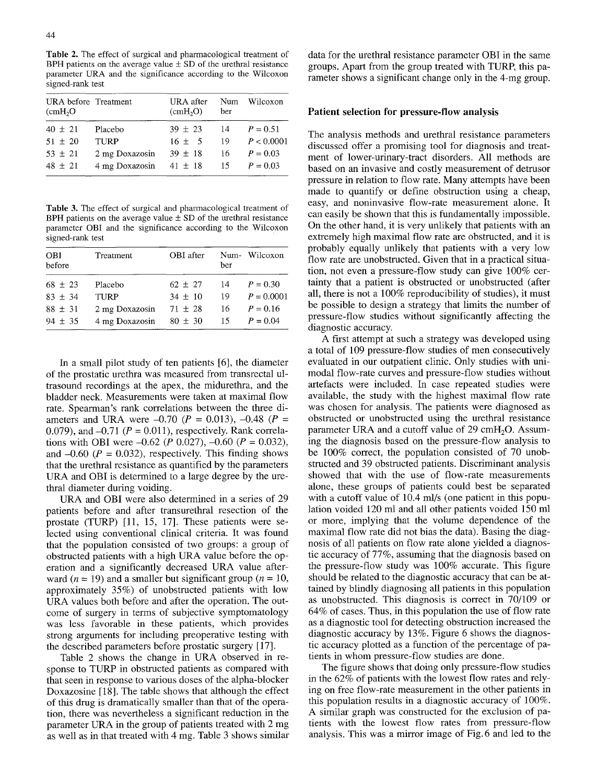**Table** 2. The effect of surgical and pharmacological treatment of BPH patients on the average value  $\pm$  SD of the urethral resistance parameter URA and the significance according to the Wilcoxon signed-rank test

| URA before Treatment<br>$\langle \text{cmH}_2 \rangle$ |                | URA after<br>(cmH <sub>2</sub> O) | Num<br>ber | Wilcoxon   |
|--------------------------------------------------------|----------------|-----------------------------------|------------|------------|
| $40 \pm 21$                                            | Placebo        | $39 \pm 23$                       | 14         | $P = 0.51$ |
| $51 + 20$                                              | TURP           | $16 + 5$                          | 19         | P < 0.0001 |
| $53 \pm 21$                                            | 2 mg Doxazosin | $39 \pm 18$                       | 16.        | $P = 0.03$ |
| $48 \pm 21$                                            | 4 mg Doxazosin | $41 \pm 18$                       | 15         | $P = 0.03$ |

**Table** 3. The effect of surgical and pharmacological treatment of BPH patients on the average value  $\pm$  SD of the urethral resistance parameter OBI and the significance according to the Wilcoxon signed-rank test

| <b>OBI</b><br>before | Treatment      | OBI after   | ber | Num- Wilcoxon |
|----------------------|----------------|-------------|-----|---------------|
| $68 \pm 23$          | Placebo        | $62 + 27$   | 14  | $P = 0.30$    |
| $83 + 34$            | TURP           | $34 \pm 10$ | 19  | $P = 0.0001$  |
| $88 \pm 31$          | 2 mg Doxazosin | $71 \pm 28$ | 16  | $P = 0.16$    |
| $94 \pm 35$          | 4 mg Doxazosin | $80 \pm 30$ | 15. | $P = 0.04$    |

In a small pilot study of ten patients [6], the diameter of the prostatic urethra was measured from transrectal ultrasound recordings at the apex, the midurethra, and the bladder neck. Measurements were taken at maximal flow rate. Spearman's rank correlations between the three diameters and URA were  $-0.70$  ( $P = 0.013$ ),  $-0.48$  ( $P =$ 0.079), and  $-0.71$  ( $P = 0.011$ ), respectively. Rank correlations with OBI were  $-0.62$  (P 0.027),  $-0.60$  (P = 0.032), and  $-0.60$  ( $P = 0.032$ ), respectively. This finding shows that the urethral resistance as quantified by the parameters URA and OBI is determined to a large degree by the urethral diameter during voiding.

URA and OBI were also determined in a series of 29 patients before and after transurethral resection of the prostate (TURP) [11, 15, 17]. These patients were selected using conventional clinical criteria. It was found that the population consisted of two groups: a group of obstructed patients with a high URA value before the operation and a significantly decreased URA value afterward ( $n = 19$ ) and a smaller but significant group ( $n = 10$ , approximately 35%) of unobstructed patients with low URA values both before and after the operation. The outcome of surgery in terms of subjective symptomatology was less favorable in these patients, which provides strong arguments for including preoperative testing with the described parameters before prostatic surgery [17].

Table 2 shows the change in URA observed in response to TURP in obstructed patients as compared with that seen in response to various doses of the alpha-blocker Doxazosine [18]. The table shows that although the effect of this drug is dramatically smaller than that of the operation, there was nevertheless a significant reduction in the parameter URA in the group of patients treated with 2 mg as well as in that treated with 4 mg. Table 3 shows similar data for the urethral resistance parameter OBI in the same groups. Apart from the group treated with TURR this parameter shows a significant change only in the 4-mg group.

## **Patient selection for pressure-flow analysis**

The analysis methods and urethral resistance parameters discussed offer a promising tool for diagnosis and treatment of lower-urinary-tract disorders. All methods are based on an invasive and costly measurement of detrusor pressure in relation to flow rate. Many attempts have been made to quantify or define obstruction using a cheap, easy, and noninvasive flow-rate measurement alone. It can easily be shown that this is fundamentally impossible. On the other hand, it is very unlikely that patients with an extremely high maximal flow rate are obstructed, and it is probably equally unlikely that patients with a very low flow rate are unobstructed. Given that in a practical situation, not even a pressure-flow study can give 100% certainty that a patient is obstructed or unobstructed (after all, there is not a 100% reproducibility of studies), it must be possible to design a strategy that limits the number of pressure-flow studies without significantly affecting the diagnostic accuracy.

A first attempt at such a strategy was developed using a total of 109 pressure-flow studies of men consecutively evaluated in our outpatient clinic. Only studies with unimodal flow-rate curves and pressure-flow studies without artefacts were included. In case repeated studies were available, the study with the highest maximal flow rate was chosen for analysis. The patients were diagnosed as obstructed or unobstructed using the urethral resistance parameter URA and a cutoff value of  $29 \text{ cm}H_2O$ . Assuming the diagnosis based on the pressure-flow analysis to be 100% correct, the population consisted of 70 unobstructed and 39 obstructed patients. Discriminant analysis showed that with the use of flow-rate measurements alone, these groups of patients could best be separated with a cutoff value of 10.4 ml/s (one patient in this population voided 120 ml and all other patients voided 150 ml or more, implying that the volume dependence of the maximal flow rate did not bias the data). Basing the diagnosis of all patients on flow rate alone yielded a diagnostic accuracy of 77%, assuming that the diagnosis based on the pressure-flow study was 100% accurate. This figure should be related to the diagnostic accuracy that can be attained by blindly diagnosing all patients in this population as unobstructed. This diagnosis is correct in 70/109 or 64% of cases. Thus, in this population the use of flow rate as a diagnostic tool for detecting obstruction increased the diagnostic accuracy by 13%. Figure 6 shows the diagnostic accuracy plotted as a function of the percentage of patients in whom pressure~flow studies are done.

The figure shows that doing only pressure-flow studies in the 62% of patients with the lowest flow rates and relying on free flow-rate measurement in the other patients in this population results in a diagnostic accuracy of 100%. A similar graph was constructed for the exclusion of patients with the lowest flow rates from pressure-flow analysis. This was a mirror image of Fig. 6 and led to the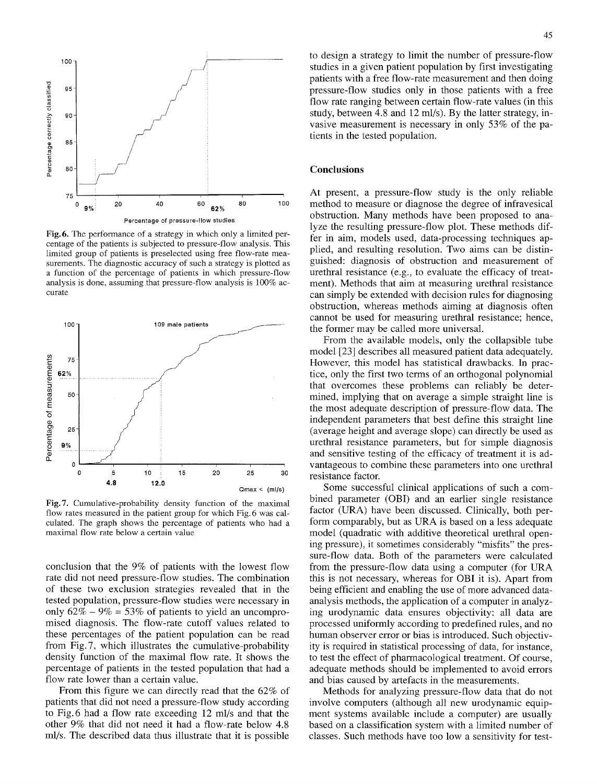

Fig. 6. The performance of a strategy in which only a limited percentage of the patients is subjected to pressure-flow analysis. This limited group of patients is preselected using free flow-rate measurements. The diagnostic accuracy of such a strategy is plotted as a function of the percentage of patients in which pressure-flow analysis is done, assuming that pressure-flow analysis is 100% accurate



Fig.7. Cumulative-probability density function of the maximal flow rates measured in the patient group for which Fig. 6 was calculated. The graph shows the percentage of patients who had a maximal flow rate below a certain value

conclusion that the 9% of patients with the lowest flow rate did not need pressure-flow studies. The combination of these two exclusion strategies revealed that in the tested population, pressure-flow studies were necessary in only  $62\% - 9\% = 53\%$  of patients to yield an uncompromised diagnosis. The flow-rate cutoff values related to these percentages of the patient population can be read from Fig.7, which illustrates the cumulative-probability density function of the maximal flow rate. It shows the percentage of patients in the tested population that had a flow rate lower than a certain value.

From this figure we can directly read that the 62% of patients that did not need a pressure-flow study according to Fig.6 had a flow rate exceeding 12 ml/s and that the other 9% that did not need it had a flow-rate below 4.8 ml/s. The described data thus illustrate that it is possible

to design a strategy to limit the number of pressure-flow studies in a given patient population by first investigating patients with a free flow-rate measurement and then doing pressure-flow studies only in those patients with a free flow rate ranging between certain flow-rate values (in this study, between 4.8 and 12 ml/s). By the latter strategy, invasive measurement is necessary in only 53% of the patients in the tested population.

#### **Conclusions**

At present, a pressure-flow study is the only reliable method to measure or diagnose the degree of infravesical obstruction. Many methods have been proposed to analyze the resulting pressure-flow plot. These methods differ in aim, models used, data-processing techniques applied, and resulting resolution. Two aims can be distinguished: diagnosis of obstruction and measurement of urethral resistance (e.g., to evaluate the efficacy of treatment). Methods that aim at measuring urethral resistance can simply be extended with decision rules for diagnosing obstruction, whereas methods aiming at diagnosis often cannot be used for measuring urethral resistance; hence, the former may be called more universal.

From the available models, only the collapsible tube model [23] describes all measured patient data adequately. However, this model has statistical drawbacks. In practice, only the first two terms of an orthogonal polynomial that overcomes these problems can reliably be determined, implying that on average a simple straight line is the most adequate description of pressure-flow data. The independent parameters that best define this straight line (average height and average slope) can directly be used as urethral resistance parameters, but for simple diagnosis and sensitive testing of the efficacy of treatment it is advantageous to combine these parameters into one urethral resistance factor.

Some successful clinical applications of such a combined parameter (OBI) and an earlier single resistance factor (URA) have been discussed. Clinically, both perform comparably, but as URA is based on a less adequate model (quadratic with additive theoretical urethral opening pressure), it sometimes considerably "misfits" the pressure-flow data. Both of the parameters were calculated from the pressure-flow data using a computer (for URA this is not necessary, whereas for OBI it is). Apart from being efficient and enabling the use of more advanced dataanalysis methods, the application of a computer in analyzing urodynamic data ensures objectivity: all data are processed uniformly according to predefined rules, and no human observer error or bias is introduced. Such objectivity is required in statistical processing of data, for instance, to test the effect of pharmacological treatment. Of course, adequate methods should be implemented to avoid errors and bias caused by artefacts in the measurements.

Methods for analyzing pressure-flow data that do not involve computers (although all new urodynamic equipment systems available include a computer) are usually based on a classification system with a limited number of classes. Such methods have too low a sensitivity for test